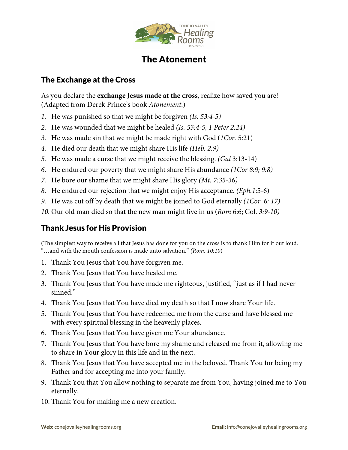

## The Atonement

## The Exchange at the Cross

As you declare the **exchange Jesus made at the cross**, realize how saved you are! (Adapted from Derek Prince's book *Atonement*.)

- *1.* He was punished so that we might be forgiven *(Is. 53:4-5)*
- *2.* He was wounded that we might be healed *(Is. 53:4-5; 1 Peter 2:24)*
- *3.* He was made sin that we might be made right with God (*1Cor.* 5:21)
- *4.* He died our death that we might share His life *(Heb. 2:9)*
- *5.* He was made a curse that we might receive the blessing. *(Gal* 3:13-14)
- *6.* He endured our poverty that we might share His abundance *(1Cor 8:9; 9:8)*
- *7.* He bore our shame that we might share His glory *(Mt. 7:35-36)*
- *8.* He endured our rejection that we might enjoy His acceptance. *(Eph.1*:5-6)
- *9.* He was cut off by death that we might be joined to God eternally *(1Cor. 6: 17)*
- *10.* Our old man died so that the new man might live in us (*Rom* 6:6; Col. *3:9-10)*

## Thank Jesus for His Provision

(The simplest way to receive all that Jesus has done for you on the cross is to thank Him for it out loud. "…and with the mouth confession is made unto salvation." *(Rom. 10:10*)

- 1. Thank You Jesus that You have forgiven me.
- 2. Thank You Jesus that You have healed me.
- 3. Thank You Jesus that You have made me righteous, justified, "just as if I had never sinned."
- 4. Thank You Jesus that You have died my death so that I now share Your life.
- 5. Thank You Jesus that You have redeemed me from the curse and have blessed me with every spiritual blessing in the heavenly places.
- 6. Thank You Jesus that You have given me Your abundance.
- 7. Thank You Jesus that You have bore my shame and released me from it, allowing me to share in Your glory in this life and in the next.
- 8. Thank You Jesus that You have accepted me in the beloved. Thank You for being my Father and for accepting me into your family.
- 9. Thank You that You allow nothing to separate me from You, having joined me to You eternally.
- 10. Thank You for making me a new creation.